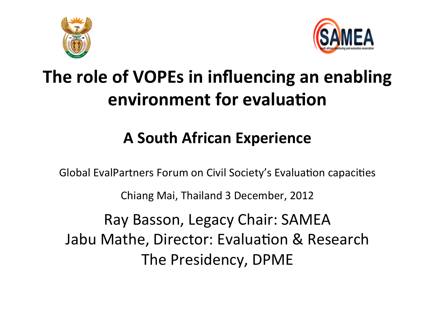



# The role of VOPEs in influencing an enabling **environment for evaluation**

# **A!South!African!Experience!**

Global EvalPartners Forum on Civil Society's Evaluation capacities Chiang Mai, Thailand 3 December, 2012 Ray Basson, Legacy Chair: SAMEA Jabu Mathe, Director: Evaluation & Research The Presidency, DPME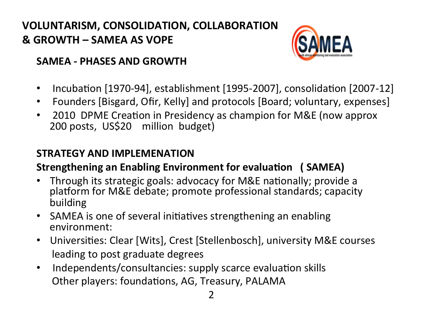## **VOLUNTARISM, CONSOLIDATION, COLLABORATION &!GROWTH!–!SAMEA!AS!VOPE!!**



#### **SAMEA - PHASES AND GROWTH**

- Incubation [1970-94], establishment [1995-2007], consolidation [2007-12]
- Founders [Bisgard, Ofir, Kelly] and protocols [Board; voluntary, expenses]
- 2010 DPME Creation in Presidency as champion for M&E (now approx 200 posts, US\$20 million budget)

### **STRATEGY!AND!IMPLEMENATION**

### **Strengthening an Enabling Environment for evaluation (SAMEA)**

- Through its strategic goals: advocacy for M&E nationally; provide a platform for M&E debate; promote professional standards; capacity building!
- SAMEA is one of several initiatives strengthening an enabling environment:
- Universities: Clear [Wits], Crest [Stellenbosch], university M&E courses leading to post graduate degrees
- Independents/consultancies: supply scarce evaluation skills Other players: foundations, AG, Treasury, PALAMA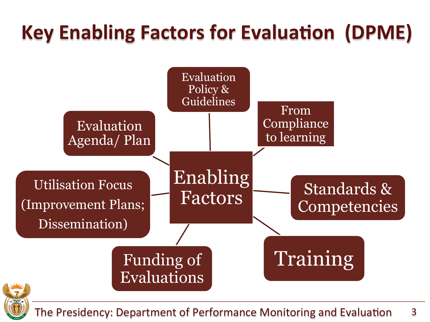# **Key Enabling Factors for Evaluation (DPME)**





The Presidency: Department of Performance Monitoring and Evaluation 3!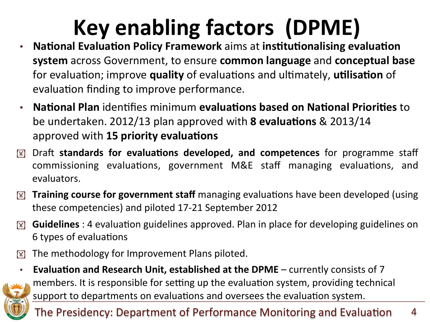# Key enabling factors (DPME)

- National Evaluation Policy Framework aims at institutionalising evaluation **system** across Government, to ensure **common language** and **conceptual base** for evaluation; improve **quality** of evaluations and ultimately, **utilisation** of evaluation finding to improve performance.
- **National Plan** identifies minimum **evaluations based on National Priorities** to be undertaken. 2012/13 plan approved with **8 evaluations** & 2013/14 approved with **15 priority evaluations**
- $\boxed{\mathbb{X}}$  Draft standards for evaluations developed, and competences for programme staff commissioning evaluations, government M&E staff managing evaluations, and evaluators.
- **I'll Iraining course for government staff** managing evaluations have been developed (using these competencies) and piloted 17-21 September 2012
- $\mathbb{F}$  **Guidelines** : 4 evaluation guidelines approved. Plan in place for developing guidelines on 6 types of evaluations
- $\mathbb{F}$  The methodology for Improvement Plans piloted.
- **Evaluation and Research Unit, established at the DPME** currently consists of 7



members. It is responsible for setting up the evaluation system, providing technical support to departments on evaluations and oversees the evaluation system.

The Presidency: Department of Performance Monitoring and Evaluation 4!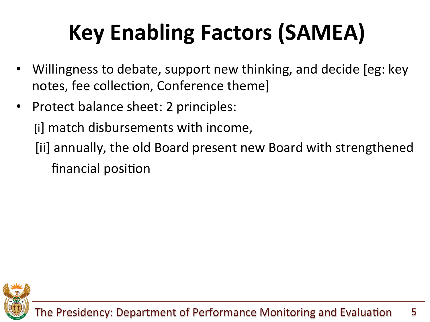# Key Enabling Factors (SAMEA)

- Willingness to debate, support new thinking, and decide [eg: key] notes, fee collection, Conference theme]
- Protect balance sheet: 2 principles:

[i] match disbursements with income,

[ii] annually, the old Board present new Board with strengthened financial position

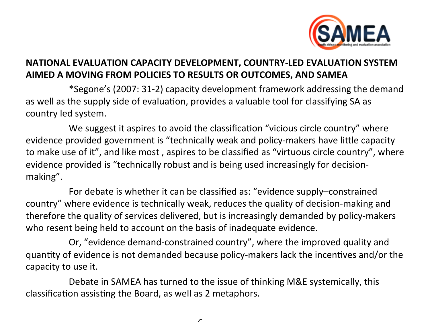

#### NATIONAL EVALUATION CAPACITY DEVELOPMENT, COUNTRY-LED EVALUATION SYSTEM AIMED A MOVING FROM POLICIES TO RESULTS OR OUTCOMES, AND SAMEA

\*Segone's (2007: 31-2) capacity development framework addressing the demand as well as the supply side of evaluation, provides a valuable tool for classifying SA as country led system.

We suggest it aspires to avoid the classification "vicious circle country" where evidence provided government is "technically weak and policy-makers have little capacity to make use of it", and like most, aspires to be classified as "virtuous circle country", where evidence provided is "technically robust and is being used increasingly for decisionmaking".

For debate is whether it can be classified as: "evidence supply-constrained country" where evidence is technically weak, reduces the quality of decision-making and therefore the quality of services delivered, but is increasingly demanded by policy-makers who resent being held to account on the basis of inadequate evidence.

Or, "evidence demand-constrained country", where the improved quality and quantity of evidence is not demanded because policy-makers lack the incentives and/or the capacity to use it.

Debate in SAMEA has turned to the issue of thinking M&E systemically, this classification assisting the Board, as well as 2 metaphors.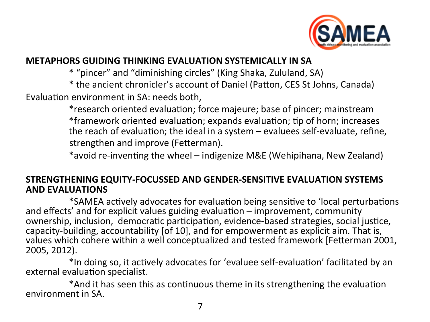

#### **METAPHORS GUIDING THINKING EVALUATION SYSTEMICALLY IN SA**

\* "pincer" and "diminishing circles" (King Shaka, Zululand, SA)

\* the ancient chronicler's account of Daniel (Patton, CES St Johns, Canada) Evaluation environment in SA: needs both,

> \*research oriented evaluation; force majeure; base of pincer; mainstream \*framework oriented evaluation; expands evaluation; tip of horn; increases the reach of evaluation; the ideal in a system  $-$  evaluees self-evaluate, refine, strengthen and improve (Fetterman).

\*avoid re-inventing the wheel – indigenize M&E (Wehipihana, New Zealand)

#### STRENGTHENING EQUITY-FOCUSSED AND GENDER-SENSITIVE EVALUATION SYSTEMS **AND EVALUATIONS**

\*SAMEA actively advocates for evaluation being sensitive to 'local perturbations and effects' and for explicit values guiding evaluation - improvement, community ownership, inclusion, democratic participation, evidence-based strategies, social justice, capacity-building, accountability [of 10], and for empowerment as explicit aim. That is, values which cohere within a well conceptualized and tested framework [Fetterman 2001, 2005, 2012).

\*In doing so, it actively advocates for 'evaluee self-evaluation' facilitated by an external evaluation specialist.

\*And it has seen this as continuous theme in its strengthening the evaluation environment in SA.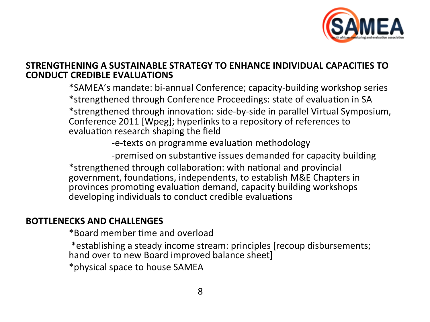

#### STRENGTHENING A SUSTAINABLE STRATEGY TO ENHANCE INDIVIDUAL CAPACITIES TO **CONDUCT CREDIBLE EVALUATIONS**

\*SAMEA's mandate: bi-annual Conference; capacity-building workshop series \*strengthened through Conference Proceedings: state of evaluation in SA \*strengthened through innovation: side-by-side in parallel Virtual Symposium, Conference 2011 [Wpeg]; hyperlinks to a repository of references to evaluation research shaping the field

-e-texts on programme evaluation methodology

-premised on substantive issues demanded for capacity building \*strengthened through collaboration: with national and provincial government, foundations, independents, to establish M&E Chapters in provinces promoting evaluation demand, capacity building workshops developing individuals to conduct credible evaluations

#### **BOTTLENECKS AND CHALLENGES**

\*Board member time and overload

\*establishing a steady income stream: principles (recoup disbursements;

hand over to new Board improved balance sheet]

\*physical space to house SAMEA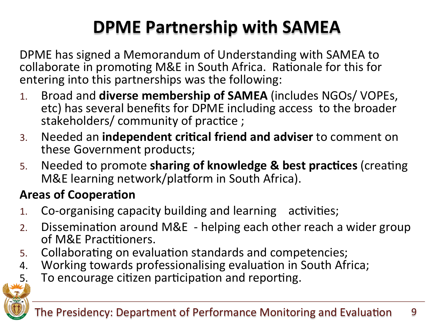# **DPME Partnership with SAMEA**

DPME has signed a Memorandum of Understanding with SAMEA to collaborate in promoting M&E in South Africa. Rationale for this for entering into this partnerships was the following:

- Broad and diverse membership of SAMEA (includes NGOs/VOPEs,  $1<sub>1</sub>$ etc) has several benefits for DPME including access to the broader stakeholders/community of practice;
- Needed an independent critical friend and adviser to comment on  $3.$ these Government products;
- Needed to promote sharing of knowledge & best practices (creating 5. M&E learning network/platform in South Africa).

## **Areas of Cooperation**

- Co-organising capacity building and learning activities;  $1<sub>1</sub>$
- Dissemination around M&E helping each other reach a wider group  $2.$ of M&E Practitioners.
- Collaborating on evaluation standards and competencies; 5.
- Working towards professionalising evaluation in South Africa; 4.
- To encourage citizen participation and reporting. 5.

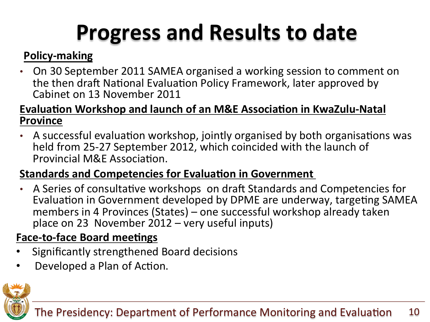# **Progress and Results to date**

## **Policy-making**

On 30 September 2011 SAMEA organised a working session to comment on the then draft National Evaluation Policy Framework, later approved by Cabinet on 13 November 2011

### **Evaluation Workshop and launch of an M&E Association in KwaZulu-Natal Province!**

• A successful evaluation workshop, jointly organised by both organisations was held from 25-27 September 2012, which coincided with the launch of Provincial M&F Association.

### **Standards and Competencies for Evaluation in Government**

• A Series of consultative workshops on draft Standards and Competencies for Evaluation in Government developed by DPME are underway, targeting SAMEA members in 4 Provinces (States) – one successful workshop already taken place on 23 November  $2012$  – very useful inputs)

## **Face-to-face Board meetings**

- Significantly strengthened Board decisions
- Developed a Plan of Action.

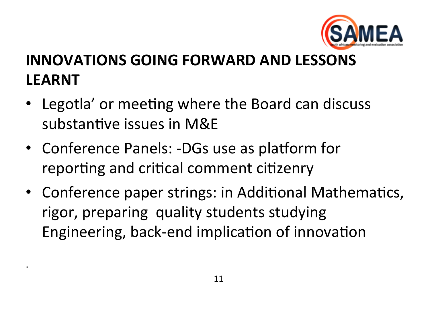

# **INNOVATIONS GOING FORWARD AND LESSONS LEARNT**

- Legotla' or meeting where the Board can discuss substantive issues in M&E
- Conference Panels: -DGs use as platform for reporting and critical comment citizenry
- Conference paper strings: in Additional Mathematics, rigor, preparing quality students studying Engineering, back-end implication of innovation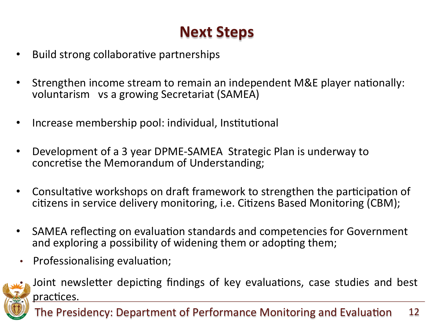# **Next Steps**

- Build strong collaborative partnerships
- Strengthen income stream to remain an independent M&E player nationally: voluntarism vs a growing Secretariat (SAMEA)
- Increase membership pool: individual, Institutional
- Development of a 3 year DPME-SAMEA Strategic Plan is underway to concretise the Memorandum of Understanding;
- Consultative workshops on draft framework to strengthen the participation of citizens in service delivery monitoring, i.e. Citizens Based Monitoring (CBM);
- SAMEA reflecting on evaluation standards and competencies for Government and exploring a possibility of widening them or adopting them;
- Professionalising evaluation;  $\bullet$



Joint newsletter depicting findings of key evaluations, case studies and best practices.